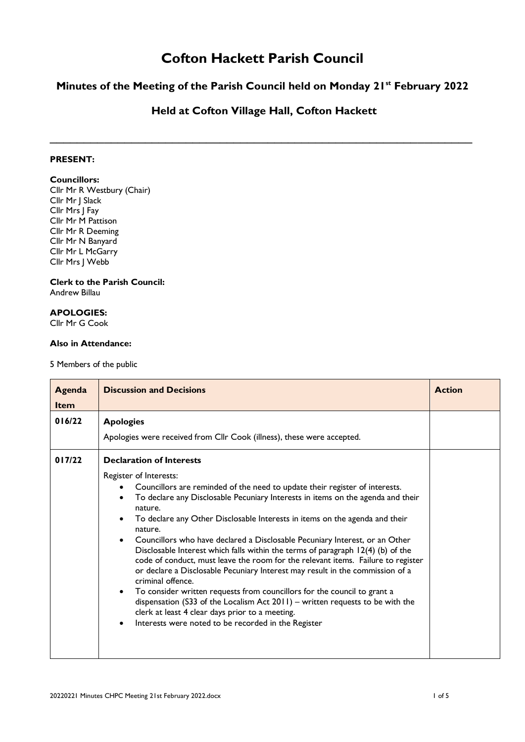# **Cofton Hackett Parish Council**

## **Minutes of the Meeting of the Parish Council held on Monday 21st February 2022**

### **Held at Cofton Village Hall, Cofton Hackett**

 $\_$  , and the set of the set of the set of the set of the set of the set of the set of the set of the set of the set of the set of the set of the set of the set of the set of the set of the set of the set of the set of th

### **PRESENT:**

#### **Councillors:**

Cllr Mr R Westbury (Chair) Cllr Mr J Slack Cllr Mrs J Fay Cllr Mr M Pattison Cllr Mr R Deeming Cllr Mr N Banyard Cllr Mr L McGarry Cllr Mrs J Webb

## **Clerk to the Parish Council:**

Andrew Billau

## **APOLOGIES:**

Cllr Mr G Cook

#### **Also in Attendance:**

5 Members of the public

| Agenda<br><b>Item</b> | <b>Discussion and Decisions</b>                                                                                                                                                                                                                                                                                                                                                                                                                                                                                                                                                                                                                                                                                                                                                                                                                                                                                                                                        | <b>Action</b> |
|-----------------------|------------------------------------------------------------------------------------------------------------------------------------------------------------------------------------------------------------------------------------------------------------------------------------------------------------------------------------------------------------------------------------------------------------------------------------------------------------------------------------------------------------------------------------------------------------------------------------------------------------------------------------------------------------------------------------------------------------------------------------------------------------------------------------------------------------------------------------------------------------------------------------------------------------------------------------------------------------------------|---------------|
| 016/22                | <b>Apologies</b><br>Apologies were received from Cllr Cook (illness), these were accepted.                                                                                                                                                                                                                                                                                                                                                                                                                                                                                                                                                                                                                                                                                                                                                                                                                                                                             |               |
| 017/22                | <b>Declaration of Interests</b><br>Register of Interests:<br>Councillors are reminded of the need to update their register of interests.<br>To declare any Disclosable Pecuniary Interests in items on the agenda and their<br>nature.<br>To declare any Other Disclosable Interests in items on the agenda and their<br>nature.<br>Councillors who have declared a Disclosable Pecuniary Interest, or an Other<br>Disclosable Interest which falls within the terms of paragraph 12(4) (b) of the<br>code of conduct, must leave the room for the relevant items. Failure to register<br>or declare a Disclosable Pecuniary Interest may result in the commission of a<br>criminal offence.<br>To consider written requests from councillors for the council to grant a<br>dispensation (S33 of the Localism Act $2011$ ) – written requests to be with the<br>clerk at least 4 clear days prior to a meeting.<br>Interests were noted to be recorded in the Register |               |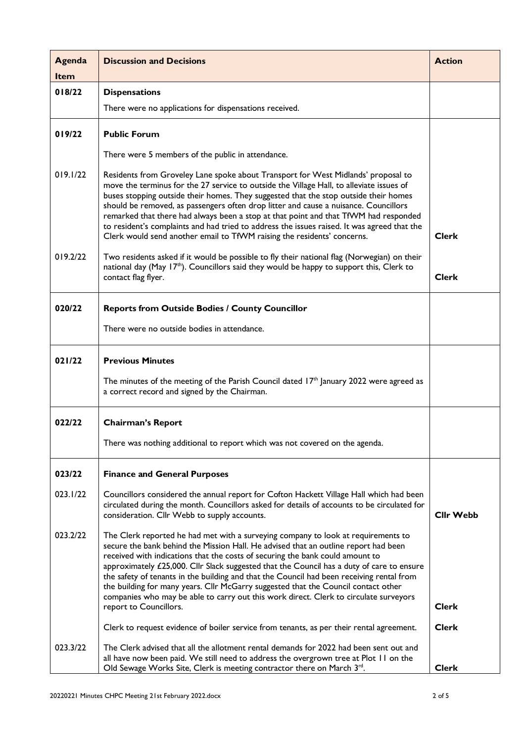| Agenda      | <b>Discussion and Decisions</b>                                                                                                                                                                                                                                                                                                                                                                                                                                                                                                                                                                                                                                                                                                                          | <b>Action</b>                |
|-------------|----------------------------------------------------------------------------------------------------------------------------------------------------------------------------------------------------------------------------------------------------------------------------------------------------------------------------------------------------------------------------------------------------------------------------------------------------------------------------------------------------------------------------------------------------------------------------------------------------------------------------------------------------------------------------------------------------------------------------------------------------------|------------------------------|
| <b>Item</b> |                                                                                                                                                                                                                                                                                                                                                                                                                                                                                                                                                                                                                                                                                                                                                          |                              |
| 018/22      | <b>Dispensations</b>                                                                                                                                                                                                                                                                                                                                                                                                                                                                                                                                                                                                                                                                                                                                     |                              |
|             | There were no applications for dispensations received.                                                                                                                                                                                                                                                                                                                                                                                                                                                                                                                                                                                                                                                                                                   |                              |
| 019/22      | <b>Public Forum</b>                                                                                                                                                                                                                                                                                                                                                                                                                                                                                                                                                                                                                                                                                                                                      |                              |
|             | There were 5 members of the public in attendance.                                                                                                                                                                                                                                                                                                                                                                                                                                                                                                                                                                                                                                                                                                        |                              |
| 019.1/22    | Residents from Groveley Lane spoke about Transport for West Midlands' proposal to<br>move the terminus for the 27 service to outside the Village Hall, to alleviate issues of<br>buses stopping outside their homes. They suggested that the stop outside their homes<br>should be removed, as passengers often drop litter and cause a nuisance. Councillors<br>remarked that there had always been a stop at that point and that TfWM had responded<br>to resident's complaints and had tried to address the issues raised. It was agreed that the<br>Clerk would send another email to TfWM raising the residents' concerns.                                                                                                                          | <b>Clerk</b>                 |
| 019.2/22    | Two residents asked if it would be possible to fly their national flag (Norwegian) on their<br>national day (May 17 <sup>th</sup> ). Councillors said they would be happy to support this, Clerk to<br>contact flag flyer.                                                                                                                                                                                                                                                                                                                                                                                                                                                                                                                               | <b>Clerk</b>                 |
| 020/22      | <b>Reports from Outside Bodies / County Councillor</b>                                                                                                                                                                                                                                                                                                                                                                                                                                                                                                                                                                                                                                                                                                   |                              |
|             | There were no outside bodies in attendance.                                                                                                                                                                                                                                                                                                                                                                                                                                                                                                                                                                                                                                                                                                              |                              |
| 021/22      | <b>Previous Minutes</b>                                                                                                                                                                                                                                                                                                                                                                                                                                                                                                                                                                                                                                                                                                                                  |                              |
|             | The minutes of the meeting of the Parish Council dated $17th$ January 2022 were agreed as<br>a correct record and signed by the Chairman.                                                                                                                                                                                                                                                                                                                                                                                                                                                                                                                                                                                                                |                              |
| 022/22      | <b>Chairman's Report</b>                                                                                                                                                                                                                                                                                                                                                                                                                                                                                                                                                                                                                                                                                                                                 |                              |
|             | There was nothing additional to report which was not covered on the agenda.                                                                                                                                                                                                                                                                                                                                                                                                                                                                                                                                                                                                                                                                              |                              |
| 023/22      | <b>Finance and General Purposes</b>                                                                                                                                                                                                                                                                                                                                                                                                                                                                                                                                                                                                                                                                                                                      |                              |
| 023.1/22    | Councillors considered the annual report for Cofton Hackett Village Hall which had been<br>circulated during the month. Councillors asked for details of accounts to be circulated for<br>consideration. Cllr Webb to supply accounts.                                                                                                                                                                                                                                                                                                                                                                                                                                                                                                                   | <b>Cllr Webb</b>             |
| 023.2/22    | The Clerk reported he had met with a surveying company to look at requirements to<br>secure the bank behind the Mission Hall. He advised that an outline report had been<br>received with indications that the costs of securing the bank could amount to<br>approximately £25,000. Cllr Slack suggested that the Council has a duty of care to ensure<br>the safety of tenants in the building and that the Council had been receiving rental from<br>the building for many years. Cllr McGarry suggested that the Council contact other<br>companies who may be able to carry out this work direct. Clerk to circulate surveyors<br>report to Councillors.<br>Clerk to request evidence of boiler service from tenants, as per their rental agreement. | <b>Clerk</b><br><b>Clerk</b> |
| 023.3/22    | The Clerk advised that all the allotment rental demands for 2022 had been sent out and                                                                                                                                                                                                                                                                                                                                                                                                                                                                                                                                                                                                                                                                   |                              |
|             | all have now been paid. We still need to address the overgrown tree at Plot 11 on the<br>Old Sewage Works Site, Clerk is meeting contractor there on March $3rd$ .                                                                                                                                                                                                                                                                                                                                                                                                                                                                                                                                                                                       | <b>Clerk</b>                 |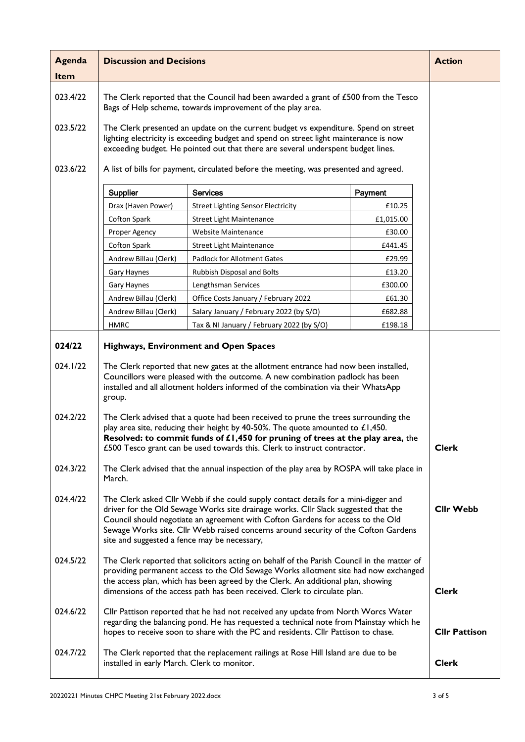| Agenda      | <b>Discussion and Decisions</b>                                                                                                                                                                                                                                                                                                                                                                    |                                              |           | <b>Action</b>        |
|-------------|----------------------------------------------------------------------------------------------------------------------------------------------------------------------------------------------------------------------------------------------------------------------------------------------------------------------------------------------------------------------------------------------------|----------------------------------------------|-----------|----------------------|
| <b>Item</b> |                                                                                                                                                                                                                                                                                                                                                                                                    |                                              |           |                      |
| 023.4/22    | The Clerk reported that the Council had been awarded a grant of £500 from the Tesco<br>Bags of Help scheme, towards improvement of the play area.                                                                                                                                                                                                                                                  |                                              |           |                      |
| 023.5/22    | The Clerk presented an update on the current budget vs expenditure. Spend on street<br>lighting electricity is exceeding budget and spend on street light maintenance is now<br>exceeding budget. He pointed out that there are several underspent budget lines.                                                                                                                                   |                                              |           |                      |
| 023.6/22    | A list of bills for payment, circulated before the meeting, was presented and agreed.                                                                                                                                                                                                                                                                                                              |                                              |           |                      |
|             | Supplier                                                                                                                                                                                                                                                                                                                                                                                           | <b>Services</b>                              | Payment   |                      |
|             | Drax (Haven Power)                                                                                                                                                                                                                                                                                                                                                                                 | <b>Street Lighting Sensor Electricity</b>    | £10.25    |                      |
|             | Cofton Spark                                                                                                                                                                                                                                                                                                                                                                                       | <b>Street Light Maintenance</b>              | £1,015.00 |                      |
|             | Proper Agency                                                                                                                                                                                                                                                                                                                                                                                      | <b>Website Maintenance</b>                   | £30.00    |                      |
|             | Cofton Spark                                                                                                                                                                                                                                                                                                                                                                                       | <b>Street Light Maintenance</b>              | £441.45   |                      |
|             | Andrew Billau (Clerk)                                                                                                                                                                                                                                                                                                                                                                              | <b>Padlock for Allotment Gates</b>           | £29.99    |                      |
|             | Gary Haynes                                                                                                                                                                                                                                                                                                                                                                                        | Rubbish Disposal and Bolts                   | £13.20    |                      |
|             | Gary Haynes                                                                                                                                                                                                                                                                                                                                                                                        | Lengthsman Services                          | £300.00   |                      |
|             | Andrew Billau (Clerk)                                                                                                                                                                                                                                                                                                                                                                              | Office Costs January / February 2022         | £61.30    |                      |
|             | Andrew Billau (Clerk)                                                                                                                                                                                                                                                                                                                                                                              | Salary January / February 2022 (by S/O)      | £682.88   |                      |
|             | <b>HMRC</b>                                                                                                                                                                                                                                                                                                                                                                                        | Tax & NI January / February 2022 (by S/O)    | £198.18   |                      |
| 024/22      |                                                                                                                                                                                                                                                                                                                                                                                                    | <b>Highways, Environment and Open Spaces</b> |           |                      |
| 024.1/22    | The Clerk reported that new gates at the allotment entrance had now been installed,<br>Councillors were pleased with the outcome. A new combination padlock has been<br>installed and all allotment holders informed of the combination via their WhatsApp<br>group.                                                                                                                               |                                              |           |                      |
| 024.2/22    | The Clerk advised that a quote had been received to prune the trees surrounding the<br>play area site, reducing their height by 40-50%. The quote amounted to $£1,450.$<br>Resolved: to commit funds of £1,450 for pruning of trees at the play area, the<br>£500 Tesco grant can be used towards this. Clerk to instruct contractor.                                                              |                                              |           | <b>Clerk</b>         |
| 024.3/22    | The Clerk advised that the annual inspection of the play area by ROSPA will take place in<br>March.                                                                                                                                                                                                                                                                                                |                                              |           |                      |
| 024.4/22    | The Clerk asked Cllr Webb if she could supply contact details for a mini-digger and<br>driver for the Old Sewage Works site drainage works. Cllr Slack suggested that the<br>Council should negotiate an agreement with Cofton Gardens for access to the Old<br>Sewage Works site. Cllr Webb raised concerns around security of the Cofton Gardens<br>site and suggested a fence may be necessary, |                                              |           | <b>Cllr Webb</b>     |
| 024.5/22    | The Clerk reported that solicitors acting on behalf of the Parish Council in the matter of<br>providing permanent access to the Old Sewage Works allotment site had now exchanged<br>the access plan, which has been agreed by the Clerk. An additional plan, showing<br>dimensions of the access path has been received. Clerk to circulate plan.                                                 |                                              |           | <b>Clerk</b>         |
| 024.6/22    | Cllr Pattison reported that he had not received any update from North Worcs Water<br>regarding the balancing pond. He has requested a technical note from Mainstay which he<br>hopes to receive soon to share with the PC and residents. Cllr Pattison to chase.                                                                                                                                   |                                              |           | <b>Cllr Pattison</b> |
| 024.7/22    | The Clerk reported that the replacement railings at Rose Hill Island are due to be<br>installed in early March. Clerk to monitor.                                                                                                                                                                                                                                                                  |                                              |           | <b>Clerk</b>         |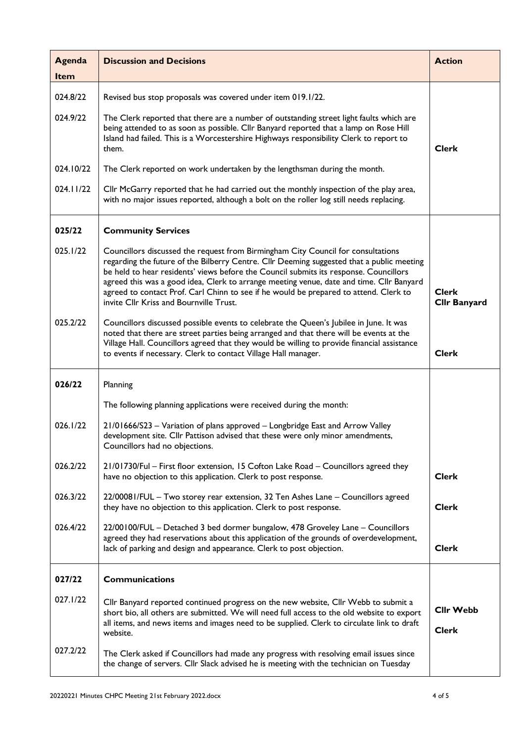| <b>Agenda</b><br>Item | <b>Discussion and Decisions</b>                                                                                                                                                                                                                                                                                                                                                                                                                                                                        | <b>Action</b>                       |
|-----------------------|--------------------------------------------------------------------------------------------------------------------------------------------------------------------------------------------------------------------------------------------------------------------------------------------------------------------------------------------------------------------------------------------------------------------------------------------------------------------------------------------------------|-------------------------------------|
| 024.8/22              | Revised bus stop proposals was covered under item 019.1/22.                                                                                                                                                                                                                                                                                                                                                                                                                                            |                                     |
| 024.9/22              | The Clerk reported that there are a number of outstanding street light faults which are<br>being attended to as soon as possible. Cllr Banyard reported that a lamp on Rose Hill<br>Island had failed. This is a Worcestershire Highways responsibility Clerk to report to<br>them.                                                                                                                                                                                                                    | <b>Clerk</b>                        |
| 024.10/22             | The Clerk reported on work undertaken by the lengthsman during the month.                                                                                                                                                                                                                                                                                                                                                                                                                              |                                     |
| 024.11/22             | Cllr McGarry reported that he had carried out the monthly inspection of the play area,<br>with no major issues reported, although a bolt on the roller log still needs replacing.                                                                                                                                                                                                                                                                                                                      |                                     |
| 025/22                | <b>Community Services</b>                                                                                                                                                                                                                                                                                                                                                                                                                                                                              |                                     |
| 025.1/22              | Councillors discussed the request from Birmingham City Council for consultations<br>regarding the future of the Bilberry Centre. Cllr Deeming suggested that a public meeting<br>be held to hear residents' views before the Council submits its response. Councillors<br>agreed this was a good idea, Clerk to arrange meeting venue, date and time. Cllr Banyard<br>agreed to contact Prof. Carl Chinn to see if he would be prepared to attend. Clerk to<br>invite Cllr Kriss and Bournville Trust. | <b>Clerk</b><br><b>Cllr Banyard</b> |
| 025.2/22              | Councillors discussed possible events to celebrate the Queen's Jubilee in June. It was<br>noted that there are street parties being arranged and that there will be events at the<br>Village Hall. Councillors agreed that they would be willing to provide financial assistance<br>to events if necessary. Clerk to contact Village Hall manager.                                                                                                                                                     | <b>Clerk</b>                        |
| 026/22                | Planning                                                                                                                                                                                                                                                                                                                                                                                                                                                                                               |                                     |
|                       | The following planning applications were received during the month:                                                                                                                                                                                                                                                                                                                                                                                                                                    |                                     |
| 026.1/22              | 21/01666/S23 - Variation of plans approved - Longbridge East and Arrow Valley<br>development site. Cllr Pattison advised that these were only minor amendments,<br>Councillors had no objections.                                                                                                                                                                                                                                                                                                      |                                     |
| 026.2/22              | 21/01730/Ful - First floor extension, 15 Cofton Lake Road - Councillors agreed they<br>have no objection to this application. Clerk to post response.                                                                                                                                                                                                                                                                                                                                                  | <b>Clerk</b>                        |
| 026.3/22              | 22/00081/FUL - Two storey rear extension, 32 Ten Ashes Lane - Councillors agreed<br>they have no objection to this application. Clerk to post response.                                                                                                                                                                                                                                                                                                                                                | <b>Clerk</b>                        |
| 026.4/22              | 22/00100/FUL - Detached 3 bed dormer bungalow, 478 Groveley Lane - Councillors<br>agreed they had reservations about this application of the grounds of overdevelopment,<br>lack of parking and design and appearance. Clerk to post objection.                                                                                                                                                                                                                                                        | <b>Clerk</b>                        |
| 027/22                | <b>Communications</b>                                                                                                                                                                                                                                                                                                                                                                                                                                                                                  |                                     |
| 027.1/22              | Cllr Banyard reported continued progress on the new website, Cllr Webb to submit a<br>short bio, all others are submitted. We will need full access to the old website to export<br>all items, and news items and images need to be supplied. Clerk to circulate link to draft<br>website.                                                                                                                                                                                                             | <b>Cllr Webb</b><br><b>Clerk</b>    |
| 027.2/22              | The Clerk asked if Councillors had made any progress with resolving email issues since<br>the change of servers. Cllr Slack advised he is meeting with the technician on Tuesday                                                                                                                                                                                                                                                                                                                       |                                     |